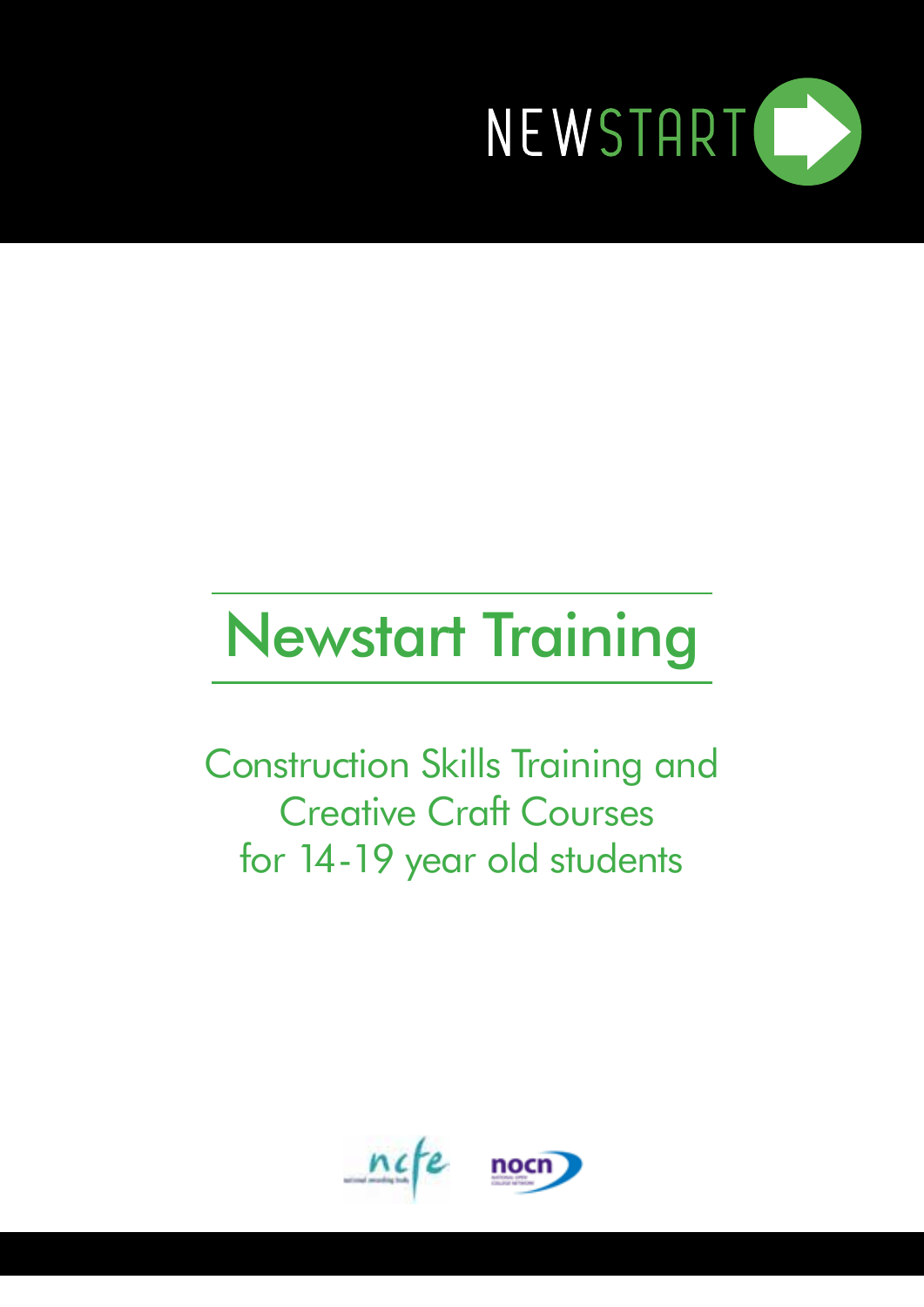

## Newstart Training

Construction Skills Training and Creative Craft Courses for 14-19 year old students

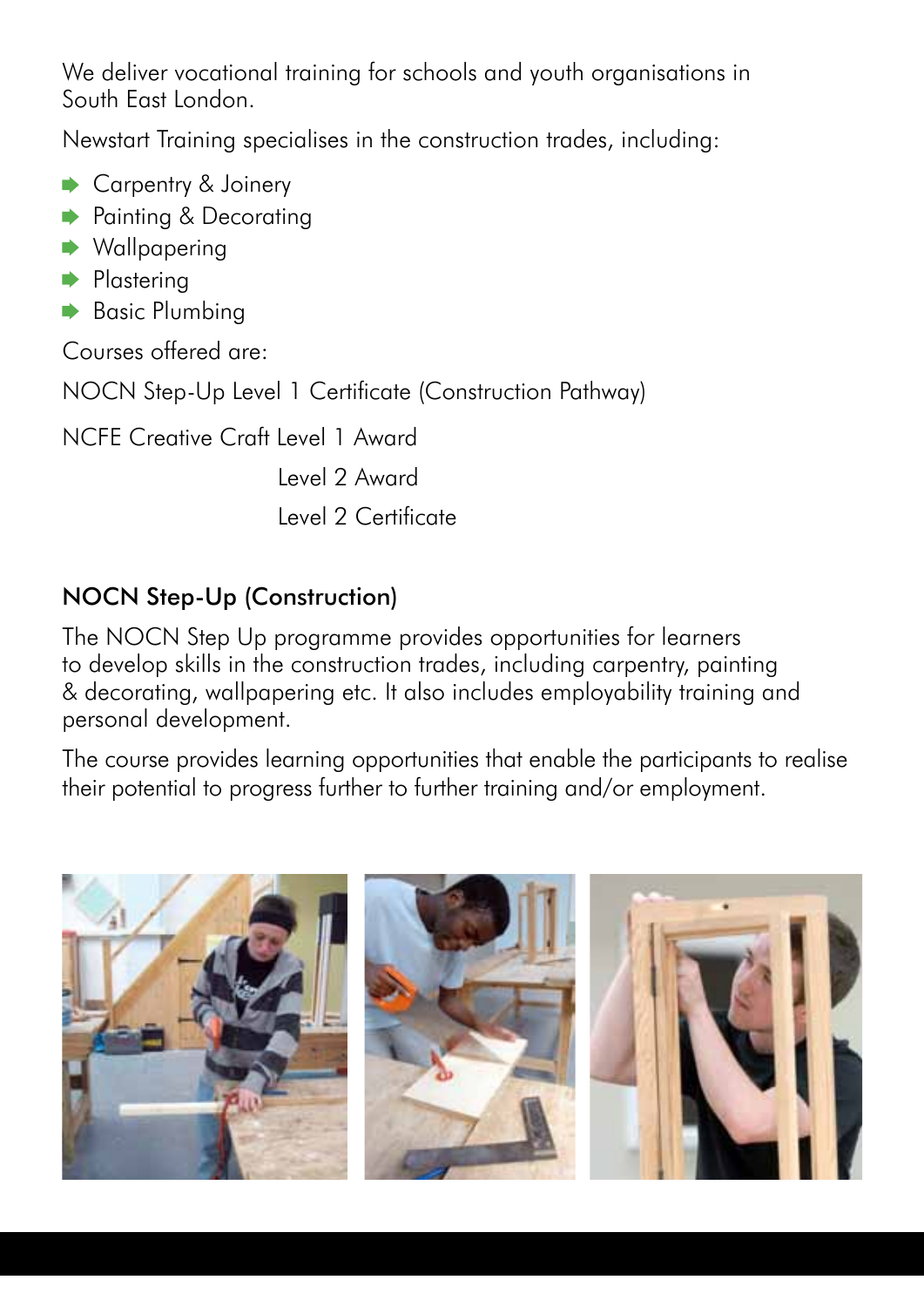We deliver vocational training for schools and youth organisations in South East London.

Newstart Training specialises in the construction trades, including:

- Carpentry & Joinery
- **▶ Painting & Decorating**
- $\rightarrow$  Wallpapering
- **Plastering**
- **▶ Basic Plumbing**

Courses offered are:

NOCN Step-Up Level 1 Certificate (Construction Pathway)

NCFE Creative Craft Level 1 Award

Level 2 Award

Level 2 Certificate

## NOCN Step-Up (Construction)

The NOCN Step Up programme provides opportunities for learners to develop skills in the construction trades, including carpentry, painting & decorating, wallpapering etc. It also includes employability training and personal development.

The course provides learning opportunities that enable the participants to realise their potential to progress further to further training and/or employment.

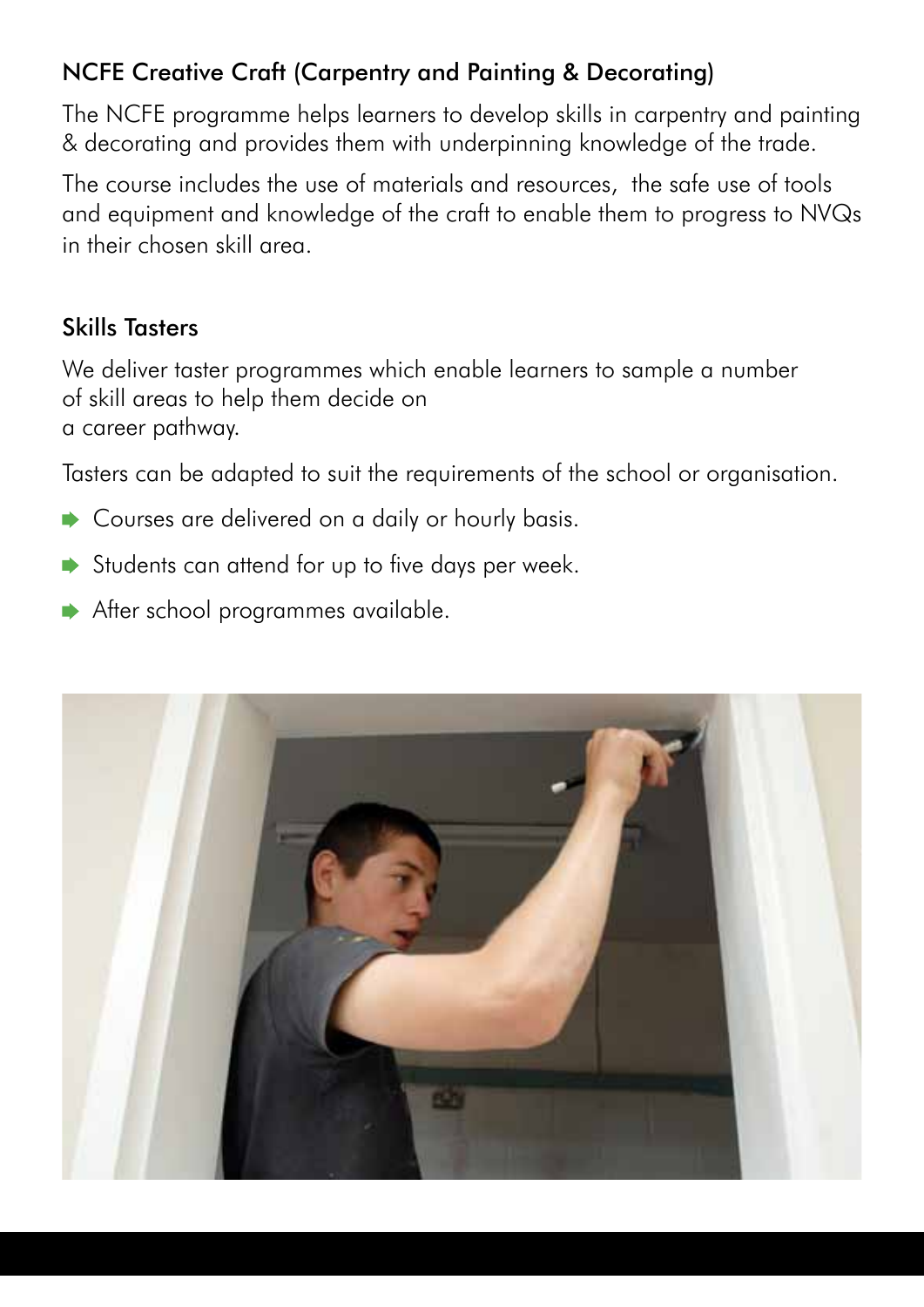## NCFE Creative Craft (Carpentry and Painting & Decorating)

The NCFE programme helps learners to develop skills in carpentry and painting & decorating and provides them with underpinning knowledge of the trade.

The course includes the use of materials and resources, the safe use of tools and equipment and knowledge of the craft to enable them to progress to NVQs in their chosen skill area.

## Skills Tasters

We deliver taster programmes which enable learners to sample a number of skill areas to help them decide on a career pathway.

Tasters can be adapted to suit the requirements of the school or organisation.

- Courses are delivered on a daily or hourly basis.
- Students can attend for up to five days per week.
- After school programmes available.